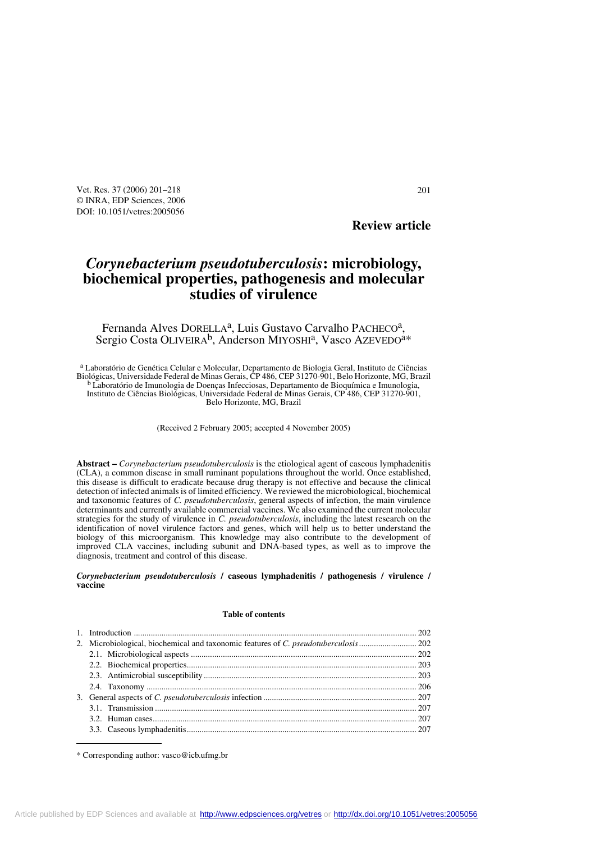Vet. Res. 37 (2006) 201–218 201 © INRA, EDP Sciences, 2006 DOI: 10.1051/vetres:2005056

# **Review article**

# *Corynebacterium pseudotuberculosis***: microbiology, biochemical properties, pathogenesis and molecular studies of virulence**

Fernanda Alves DORELLA<sup>a</sup>, Luis Gustavo Carvalho PACHECO<sup>a</sup>, Sergio Costa OLIVEIRA<sup>b</sup>, Anderson MIYOSHI<sup>a</sup>, Vasco AZEVEDO<sup>a\*</sup>

a Laboratório de Genética Celular e Molecular, Departamento de Biologia Geral, Instituto de Ciências Biológicas, Universidade Federal de Minas Gerais, CP 486, CEP 31270-901, Belo Horizonte, MG, Brazil b Laboratório de Imunologia de Doenças Infecciosas, Departamento de Bioquímica e Imunologia, Instituto de Ciências Biológicas, Universidade Federal de Minas Gerais, CP 486, CEP 31270-901, Belo Horizonte, MG, Brazil

(Received 2 February 2005; accepted 4 November 2005)

**Abstract –** *Corynebacterium pseudotuberculosis* is the etiological agent of caseous lymphadenitis (CLA), a common disease in small ruminant populations throughout the world. Once established, this disease is difficult to eradicate because drug therapy is not effective and because the clinical detection of infected animals is of limited efficiency. We reviewed the microbiological, biochemical and taxonomic features of *C. pseudotuberculosis*, general aspects of infection, the main virulence determinants and currently available commercial vaccines. We also examined the current molecular strategies for the study of virulence in *C. pseudotuberculosis*, including the latest research on the identification of novel virulence factors and genes, which will help us to better understand the biology of this microorganism. This knowledge may also contribute to the development of improved CLA vaccines, including subunit and DNA-based types, as well as to improve the diagnosis, treatment and control of this disease.

#### *Corynebacterium pseudotuberculosis* **/ caseous lymphadenitis / pathogenesis / virulence / vaccine**

#### **Table of contents**

\* Corresponding author: vasco@icb.ufmg.br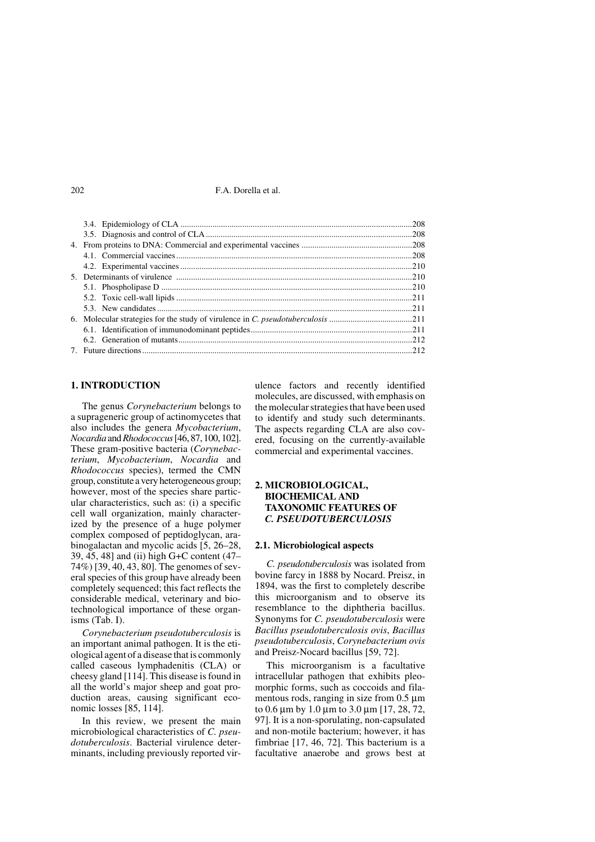#### **1. INTRODUCTION**

The genus *Corynebacterium* belongs to a suprageneric group of actinomycetes that also includes the genera *Mycobacterium*, *Nocardia* and *Rhodococcus* [46, 87, 100, 102]. These gram-positive bacteria (*Corynebacterium*, *Mycobacterium*, *Nocardia* and *Rhodococcus* species), termed the CMN group, constitute a very heterogeneous group; however, most of the species share particular characteristics, such as: (i) a specific cell wall organization, mainly characterized by the presence of a huge polymer complex composed of peptidoglycan, arabinogalactan and mycolic acids [5, 26–28, 39, 45, 48] and (ii) high G+C content (47– 74%) [39, 40, 43, 80]. The genomes of several species of this group have already been completely sequenced; this fact reflects the considerable medical, veterinary and biotechnological importance of these organisms (Tab. I).

*Corynebacterium pseudotuberculosis* is an important animal pathogen. It is the etiological agent of a disease that is commonly called caseous lymphadenitis (CLA) or cheesy gland [114]. This disease is found in all the world's major sheep and goat production areas, causing significant economic losses [85, 114].

In this review, we present the main microbiological characteristics of *C. pseudotuberculosis*. Bacterial virulence determinants, including previously reported virulence factors and recently identified molecules, are discussed, with emphasis on the molecular strategies that have been used to identify and study such determinants. The aspects regarding CLA are also covered, focusing on the currently-available commercial and experimental vaccines.

# **2. MICROBIOLOGICAL, BIOCHEMICAL AND TAXONOMIC FEATURES OF**  *C. PSEUDOTUBERCULOSIS*

# **2.1. Microbiological aspects**

*C. pseudotuberculosis* was isolated from bovine farcy in 1888 by Nocard. Preisz, in 1894, was the first to completely describe this microorganism and to observe its resemblance to the diphtheria bacillus. Synonyms for *C. pseudotuberculosis* were *Bacillus pseudotuberculosis ovis*, *Bacillus pseudotuberculosis*, *Corynebacterium ovis* and Preisz-Nocard bacillus [59, 72].

This microorganism is a facultative intracellular pathogen that exhibits pleomorphic forms, such as coccoids and filamentous rods, ranging in size from 0.5 μm to 0.6 μm by 1.0 μm to 3.0 μm [17, 28, 72, 97]. It is a non-sporulating, non-capsulated and non-motile bacterium; however, it has fimbriae [17, 46, 72]. This bacterium is a facultative anaerobe and grows best at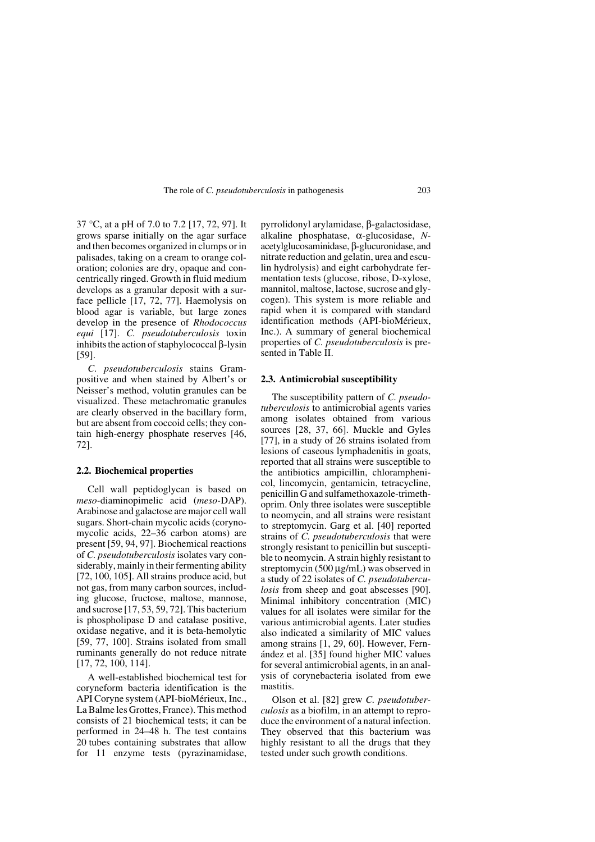37 °C, at a pH of 7.0 to 7.2 [17, 72, 97]. It grows sparse initially on the agar surface and then becomes organized in clumps or in palisades, taking on a cream to orange coloration; colonies are dry, opaque and concentrically ringed. Growth in fluid medium develops as a granular deposit with a surface pellicle [17, 72, 77]. Haemolysis on blood agar is variable, but large zones develop in the presence of *Rhodococcus equi* [17]. *C. pseudotuberculosis* toxin inhibits the action of staphylococcal β-lysin [59].

*C. pseudotuberculosis* stains Grampositive and when stained by Albert's or Neisser's method, volutin granules can be visualized. These metachromatic granules are clearly observed in the bacillary form, but are absent from coccoid cells; they contain high-energy phosphate reserves [46, 72].

#### **2.2. Biochemical properties**

Cell wall peptidoglycan is based on *meso-*diaminopimelic acid (*meso-*DAP). Arabinose and galactose are major cell wall sugars. Short-chain mycolic acids (corynomycolic acids, 22–36 carbon atoms) are present [59, 94, 97]. Biochemical reactions of *C. pseudotuberculosis* isolates vary considerably, mainly in their fermenting ability [72, 100, 105]. All strains produce acid, but not gas, from many carbon sources, including glucose, fructose, maltose, mannose, and sucrose [17, 53, 59, 72]. This bacterium is phospholipase D and catalase positive, oxidase negative, and it is beta-hemolytic [59, 77, 100]. Strains isolated from small ruminants generally do not reduce nitrate [17, 72, 100, 114].

A well-established biochemical test for coryneform bacteria identification is the API Coryne system (API-bioMérieux, Inc., La Balme les Grottes, France). This method consists of 21 biochemical tests; it can be performed in 24–48 h. The test contains 20 tubes containing substrates that allow for 11 enzyme tests (pyrazinamidase, pyrrolidonyl arylamidase, β-galactosidase, alkaline phosphatase, α-glucosidase, *N*acetylglucosaminidase, β-glucuronidase, and nitrate reduction and gelatin, urea and esculin hydrolysis) and eight carbohydrate fermentation tests (glucose, ribose, D-xylose, mannitol, maltose, lactose, sucrose and glycogen). This system is more reliable and rapid when it is compared with standard identification methods (API-bioMérieux, Inc.). A summary of general biochemical properties of *C. pseudotuberculosis* is presented in Table II.

#### **2.3. Antimicrobial susceptibility**

The susceptibility pattern of *C. pseudotuberculosis* to antimicrobial agents varies among isolates obtained from various sources [28, 37, 66]. Muckle and Gyles [77], in a study of 26 strains isolated from lesions of caseous lymphadenitis in goats, reported that all strains were susceptible to the antibiotics ampicillin, chloramphenicol, lincomycin, gentamicin, tetracycline, penicillin G and sulfamethoxazole-trimethoprim. Only three isolates were susceptible to neomycin, and all strains were resistant to streptomycin. Garg et al. [40] reported strains of *C. pseudotuberculosis* that were strongly resistant to penicillin but susceptible to neomycin. A strain highly resistant to streptomycin (500 μg/mL) was observed in a study of 22 isolates of *C. pseudotuberculosis* from sheep and goat abscesses [90]. Minimal inhibitory concentration (MIC) values for all isolates were similar for the various antimicrobial agents. Later studies also indicated a similarity of MIC values among strains [1, 29, 60]. However, Fernández et al. [35] found higher MIC values for several antimicrobial agents, in an analysis of corynebacteria isolated from ewe mastitis.

Olson et al. [82] grew *C. pseudotuberculosis* as a biofilm, in an attempt to reproduce the environment of a natural infection. They observed that this bacterium was highly resistant to all the drugs that they tested under such growth conditions.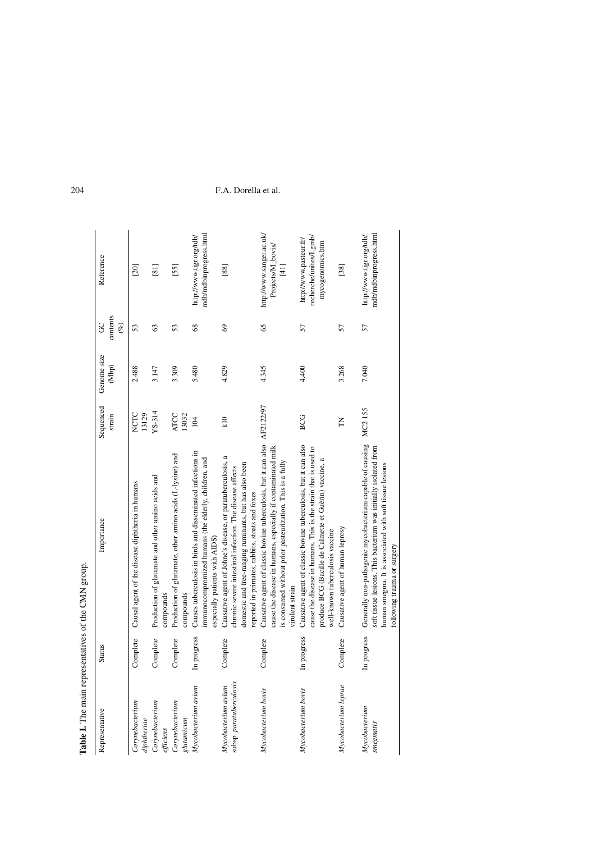| Table I. The main representatives of the CMN group. |               |                                                                                                                                                                                                                                     |                      |                      |                         |                                                                                    |
|-----------------------------------------------------|---------------|-------------------------------------------------------------------------------------------------------------------------------------------------------------------------------------------------------------------------------------|----------------------|----------------------|-------------------------|------------------------------------------------------------------------------------|
| Representative                                      | <b>Status</b> | Importance                                                                                                                                                                                                                          | Sequenced<br>strain  | Genome size<br>(Mbp) | contents<br>$($ %)<br>8 | Reference                                                                          |
| Corynebacterium<br>diphtheriae                      | Complete      | Causal agent of the disease diphtheria in humans                                                                                                                                                                                    | NCTC<br>13129        | 2.488                | 53                      | [20]                                                                               |
| Corynebacterium<br>efficiens                        | Complete      | Production of glutamate and other amino acids and<br>compounds                                                                                                                                                                      | YS-314               | 3.147                | 63                      | [8]                                                                                |
| Covnebacterium<br>glutanicum                        | Complete      | Production of glutamate, other amino acids (L-lysine) and<br>compounds                                                                                                                                                              | <b>ATCC</b><br>13032 | 3.309                | 53                      | [55]                                                                               |
| Mycobacterium avium                                 | In progress   | Causes tuberculosis in birds and disseminated infections in<br>immunocompromized humans (the elderly, children, and<br>especially patients with AIDS)                                                                               | 104                  | 5.480                | $\frac{8}{3}$           | mdb/mdbinprogress.html<br>http://www.tigr.org/tdb/                                 |
| subsp. paratuberculosis<br>Mycobacterium avium      | Complete      | Causative agent of Johne's disease, or paratuberculosis, a<br>domestic and free-ranging ruminants, but has also been<br>chronic severe intestinal infection. The disease affects<br>reported in primates, rabbits, stoats and foxes | K <sub>10</sub>      | 4.829                | 69                      | [88]                                                                               |
| Mycobacterium bovis                                 | Complete      | Causative agent of classic bovine tuberculosis, but it can also AF2122/97<br>cause the disease in humans, especially if contaminated milk<br>is consumed without prior pasteurization. This is a fully<br>virulent strain           |                      | 4.345                | 65                      | http://www.sanger.ac.uk/<br>Projects/M_bovis/<br>$\begin{array}{c} 11 \end{array}$ |
| Mycobacterium bovis                                 | In progress   | Causative agent of classic bovine tuberculosis, but it can also<br>cause the disease in humans. This is the strain that is used to<br>produce BCG (Bacille de Calmette et Guèrin) vaccine, a<br>well-known tuberculosis vaccine     | BCG                  | 4.400                | 57                      | recherche/unites/Lgmb/<br>http://www.pasteur.fr/<br>mycogenomics.htm               |
| Mycobacterium leprae                                | Complete      | Causative agent of human leprosy                                                                                                                                                                                                    | E                    | 3.268                | 57                      | $[38]$                                                                             |
| Mycobacterium<br>smegmatis                          | In progress   | Generally non-pathogenic mycobacterium capable of causing<br>soft tissue lesions. This bacterium was initially isolated from<br>human smegma. It is associated with soft tissue lesions<br>following trauma or surgery              | MC2155               | 7.040                | 57                      | mdb/mdbinprogress.html<br>http://www.tigr.org/tdb/                                 |
|                                                     |               |                                                                                                                                                                                                                                     |                      |                      |                         |                                                                                    |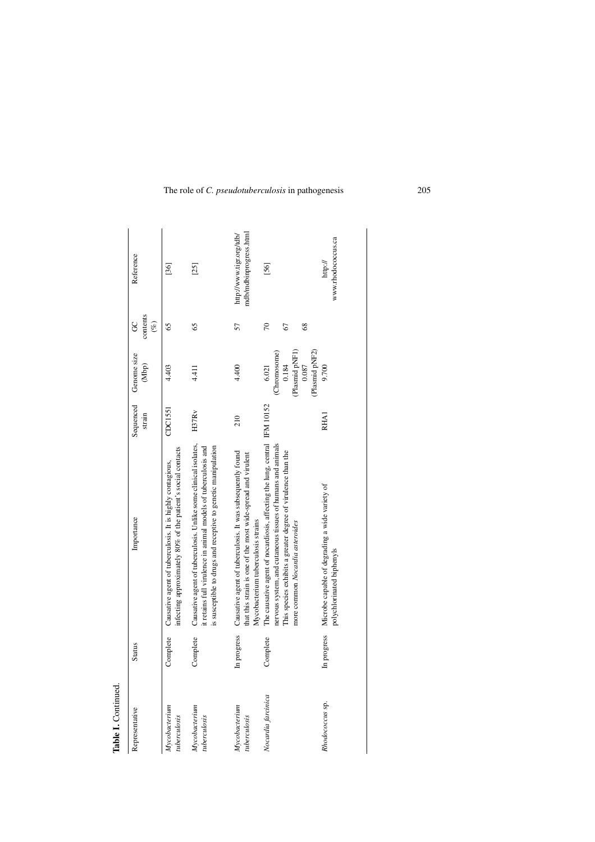| Representative                       | <b>Status</b> | Importance                                                                                                                                                                                                                                  | Sequenced<br>strain | Genome size<br>(Mbp)                                      | contents<br>g<br>(%)      | Reference                                          |
|--------------------------------------|---------------|---------------------------------------------------------------------------------------------------------------------------------------------------------------------------------------------------------------------------------------------|---------------------|-----------------------------------------------------------|---------------------------|----------------------------------------------------|
| $M$ ycobacterium<br>tuberculosis     | Complete      | infecting approximately 80% of the patient's social contacts<br>Causative agent of tuberculosis. It is highly contagious,                                                                                                                   | CDC1551             | 4.403                                                     | 65                        | [36]                                               |
| Mycobacterium<br>uberculosis         | Complete      | Causative agent of tuberculosis. Unlike some clinical isolates,<br>it retains full virulence in animal models of tuberculosis and<br>is susceptible to drugs and receptive to genetic manipulation                                          | H37R <sub>V</sub>   | $\frac{11}{4}$                                            | 65                        | $[25]$                                             |
| <b>Mycobacterium</b><br>tuberculosis | In progress   | Causative agent of tuberculosis. It was subsequently found<br>that this strain is one of the most wide-spread and virulent<br>Mycobacterium tuberculosis strains                                                                            | 210                 | 4.400                                                     | 57                        | mdb/mdbinprogress.html<br>http://www.tigr.org/tdb/ |
| Nocardia farcinica                   | Complete      | The causative agent of nocardiosis, affecting the lung, central IFM 10152<br>nervous system, and cutaneous tissues of humans and animals<br>This species exhibits a greater degree of virulence than the<br>more common Nocardia asteroides |                     | (Plasmid pNF1)<br>(Chromosome)<br>0.184<br>0.087<br>6.021 | 70<br>$\frac{8}{3}$<br>67 | [56]                                               |
| Rhodococcus sp.                      | In progress   | Microbe capable of degrading a wide variety of<br>polychlorinated biphenyls                                                                                                                                                                 | RHA1                | (Plasmid pNF2)<br>9.700                                   |                           | www.rhodococcus.ca<br>http://                      |

Table I. Continued. **Table I.** Continued.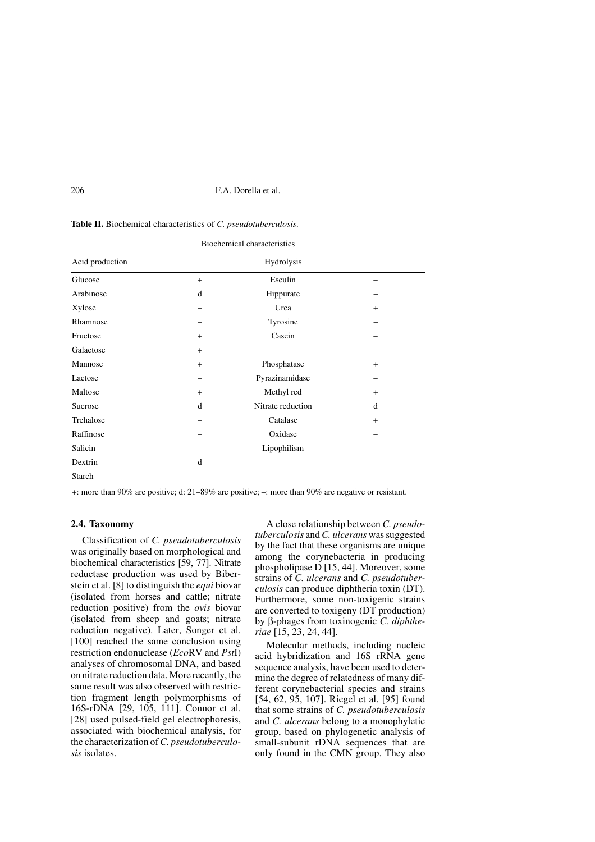**Table II.** Biochemical characteristics of *C. pseudotuberculosis*.

| <b>Biochemical characteristics</b> |     |                   |           |  |  |
|------------------------------------|-----|-------------------|-----------|--|--|
| Acid production                    |     | Hydrolysis        |           |  |  |
| Glucose                            | $+$ | Esculin           |           |  |  |
| Arabinose                          | d   | Hippurate         |           |  |  |
| Xylose                             |     | Urea              | $+$       |  |  |
| Rhamnose                           |     | Tyrosine          |           |  |  |
| Fructose                           | $+$ | Casein            |           |  |  |
| Galactose                          | $+$ |                   |           |  |  |
| Mannose                            | $+$ | Phosphatase       | $\ddot{}$ |  |  |
| Lactose                            |     | Pyrazinamidase    |           |  |  |
| Maltose                            | $+$ | Methyl red        | $\ddot{}$ |  |  |
| Sucrose                            | d   | Nitrate reduction | d         |  |  |
| Trehalose                          |     | Catalase          | $\ddot{}$ |  |  |
| Raffinose                          |     | Oxidase           |           |  |  |
| Salicin                            |     | Lipophilism       |           |  |  |
| Dextrin                            | d   |                   |           |  |  |
| Starch                             |     |                   |           |  |  |

+: more than 90% are positive; d: 21–89% are positive; –: more than 90% are negative or resistant.

# **2.4. Taxonomy**

Classification of *C. pseudotuberculosis* was originally based on morphological and biochemical characteristics [59, 77]. Nitrate reductase production was used by Biberstein et al. [8] to distinguish the *equi* biovar (isolated from horses and cattle; nitrate reduction positive) from the *ovis* biovar (isolated from sheep and goats; nitrate reduction negative). Later, Songer et al. [100] reached the same conclusion using restriction endonuclease (*Eco*RV and *Pst*I) analyses of chromosomal DNA, and based on nitrate reduction data. More recently, the same result was also observed with restriction fragment length polymorphisms of 16S-rDNA [29, 105, 111]. Connor et al. [28] used pulsed-field gel electrophoresis, associated with biochemical analysis, for the characterization of *C. pseudotuberculosis* isolates.

A close relationship between *C. pseudotuberculosis* and *C. ulcerans* was suggested by the fact that these organisms are unique among the corynebacteria in producing phospholipase D [15, 44]. Moreover, some strains of *C. ulcerans* and *C. pseudotuberculosis* can produce diphtheria toxin (DT). Furthermore, some non-toxigenic strains are converted to toxigeny (DT production) by β-phages from toxinogenic *C. diphtheriae* [15, 23, 24, 44].

Molecular methods, including nucleic acid hybridization and 16S rRNA gene sequence analysis, have been used to determine the degree of relatedness of many different corynebacterial species and strains [54, 62, 95, 107]. Riegel et al. [95] found that some strains of *C. pseudotuberculosis* and *C. ulcerans* belong to a monophyletic group, based on phylogenetic analysis of small-subunit rDNA sequences that are only found in the CMN group. They also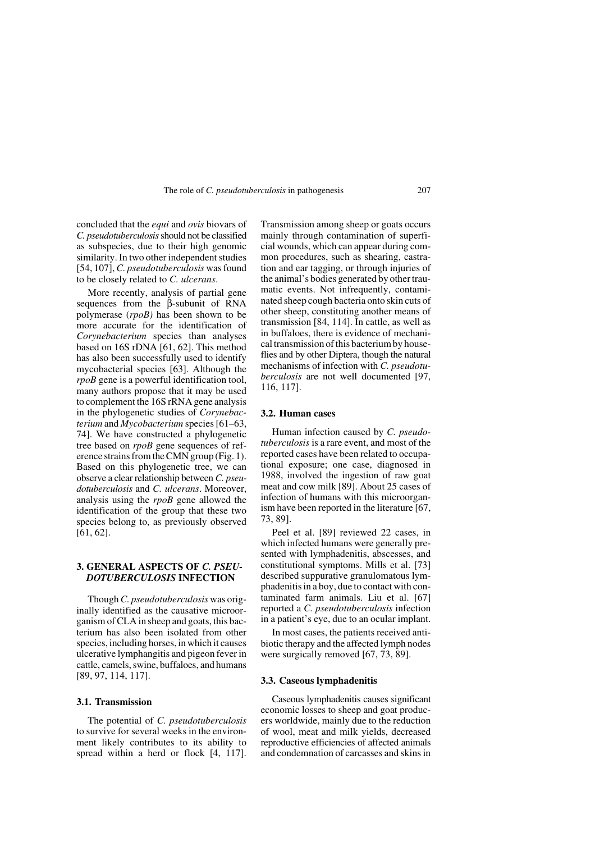concluded that the *equi* and *ovis* biovars of *C. pseudotuberculosis* should not be classified as subspecies, due to their high genomic similarity. In two other independent studies [54, 107], *C. pseudotuberculosis* was found to be closely related to *C. ulcerans*.

More recently, analysis of partial gene sequences from the β-subunit of RNA polymerase (*rpoB)* has been shown to be more accurate for the identification of *Corynebacterium* species than analyses based on 16S rDNA [61, 62]. This method has also been successfully used to identify mycobacterial species [63]. Although the *rpoB* gene is a powerful identification tool, many authors propose that it may be used to complement the 16S rRNA gene analysis in the phylogenetic studies of *Corynebacterium* and *Mycobacterium* species [61–63, 74]. We have constructed a phylogenetic tree based on *rpoB* gene sequences of reference strains from the CMN group (Fig. 1). Based on this phylogenetic tree, we can observe a clear relationship between *C. pseudotuberculosis* and *C. ulcerans*. Moreover, analysis using the *rpoB* gene allowed the identification of the group that these two species belong to, as previously observed [61, 62].

# **3. GENERAL ASPECTS OF** *C. PSEU-DOTUBERCULOSIS* **INFECTION**

Though *C. pseudotuberculosis* was originally identified as the causative microorganism of CLA in sheep and goats, this bacterium has also been isolated from other species, including horses, in which it causes ulcerative lymphangitis and pigeon fever in cattle, camels, swine, buffaloes, and humans [89, 97, 114, 117].

# **3.1. Transmission**

The potential of *C. pseudotuberculosis* to survive for several weeks in the environment likely contributes to its ability to spread within a herd or flock [4, 117]. Transmission among sheep or goats occurs mainly through contamination of superficial wounds, which can appear during common procedures, such as shearing, castration and ear tagging, or through injuries of the animal's bodies generated by other traumatic events. Not infrequently, contaminated sheep cough bacteria onto skin cuts of other sheep, constituting another means of transmission [84, 114]. In cattle, as well as in buffaloes, there is evidence of mechanical transmission of this bacterium by houseflies and by other Diptera, though the natural mechanisms of infection with *C. pseudotuberculosis* are not well documented [97, 116, 117].

# **3.2. Human cases**

Human infection caused by *C. pseudotuberculosis* is a rare event, and most of the reported cases have been related to occupational exposure; one case, diagnosed in 1988, involved the ingestion of raw goat meat and cow milk [89]. About 25 cases of infection of humans with this microorganism have been reported in the literature [67, 73, 89].

Peel et al. [89] reviewed 22 cases, in which infected humans were generally presented with lymphadenitis, abscesses, and constitutional symptoms. Mills et al. [73] described suppurative granulomatous lymphadenitis in a boy, due to contact with contaminated farm animals. Liu et al. [67] reported a *C. pseudotuberculosis* infection in a patient's eye, due to an ocular implant.

In most cases, the patients received antibiotic therapy and the affected lymph nodes were surgically removed [67, 73, 89].

#### **3.3. Caseous lymphadenitis**

Caseous lymphadenitis causes significant economic losses to sheep and goat producers worldwide, mainly due to the reduction of wool, meat and milk yields, decreased reproductive efficiencies of affected animals and condemnation of carcasses and skins in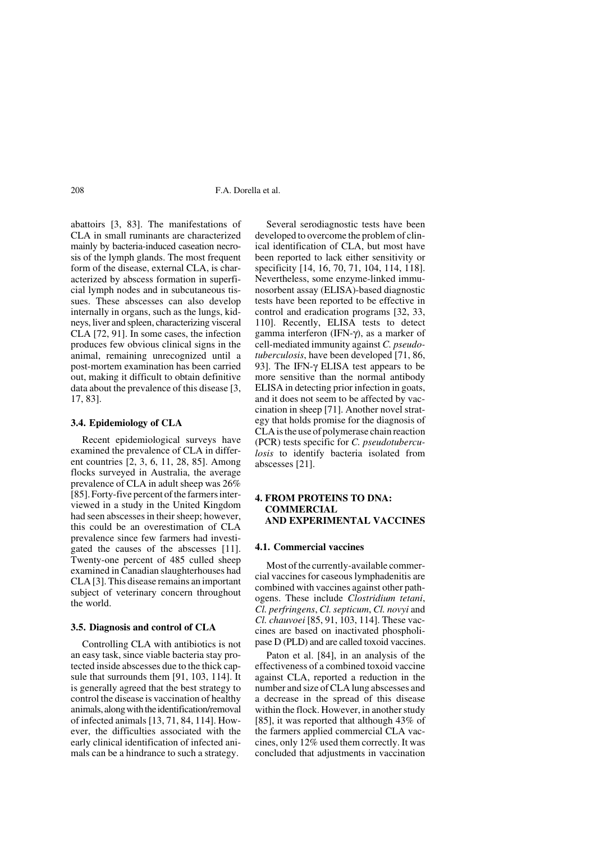abattoirs [3, 83]. The manifestations of CLA in small ruminants are characterized mainly by bacteria-induced caseation necrosis of the lymph glands. The most frequent form of the disease, external CLA, is characterized by abscess formation in superficial lymph nodes and in subcutaneous tissues. These abscesses can also develop internally in organs, such as the lungs, kidneys, liver and spleen, characterizing visceral CLA [72, 91]. In some cases, the infection produces few obvious clinical signs in the animal, remaining unrecognized until a post-mortem examination has been carried out, making it difficult to obtain definitive data about the prevalence of this disease [3, 17, 83].

#### **3.4. Epidemiology of CLA**

Recent epidemiological surveys have examined the prevalence of CLA in different countries [2, 3, 6, 11, 28, 85]. Among flocks surveyed in Australia, the average prevalence of CLA in adult sheep was 26% [85]. Forty-five percent of the farmers interviewed in a study in the United Kingdom had seen abscesses in their sheep; however, this could be an overestimation of CLA prevalence since few farmers had investigated the causes of the abscesses [11]. Twenty-one percent of 485 culled sheep examined in Canadian slaughterhouses had CLA [3]. This disease remains an important subject of veterinary concern throughout the world.

#### **3.5. Diagnosis and control of CLA**

Controlling CLA with antibiotics is not an easy task, since viable bacteria stay protected inside abscesses due to the thick capsule that surrounds them [91, 103, 114]. It is generally agreed that the best strategy to control the disease is vaccination of healthy animals, along with the identification/removal of infected animals [13, 71, 84, 114]. However, the difficulties associated with the early clinical identification of infected animals can be a hindrance to such a strategy.

Several serodiagnostic tests have been developed to overcome the problem of clinical identification of CLA, but most have been reported to lack either sensitivity or specificity [14, 16, 70, 71, 104, 114, 118]. Nevertheless, some enzyme-linked immunosorbent assay (ELISA)-based diagnostic tests have been reported to be effective in control and eradication programs [32, 33, 110]. Recently, ELISA tests to detect gamma interferon (IFN-γ), as a marker of cell-mediated immunity against *C. pseudotuberculosis*, have been developed [71, 86, 93]. The IFN-γ ELISA test appears to be more sensitive than the normal antibody ELISA in detecting prior infection in goats, and it does not seem to be affected by vaccination in sheep [71]. Another novel strategy that holds promise for the diagnosis of CLA is the use of polymerase chain reaction (PCR) tests specific for *C. pseudotuberculosis* to identify bacteria isolated from abscesses [21].

# **4. FROM PROTEINS TO DNA: COMMERCIAL AND EXPERIMENTAL VACCINES**

#### **4.1. Commercial vaccines**

Most of the currently-available commercial vaccines for caseous lymphadenitis are combined with vaccines against other pathogens. These include *Clostridium tetani*, *Cl. perfringens*, *Cl. septicum*, *Cl. novyi* and *Cl. chauvoei* [85, 91, 103, 114]. These vaccines are based on inactivated phospholipase D (PLD) and are called toxoid vaccines.

Paton et al. [84], in an analysis of the effectiveness of a combined toxoid vaccine against CLA, reported a reduction in the number and size of CLA lung abscesses and a decrease in the spread of this disease within the flock. However, in another study [85], it was reported that although 43% of the farmers applied commercial CLA vaccines, only 12% used them correctly. It was concluded that adjustments in vaccination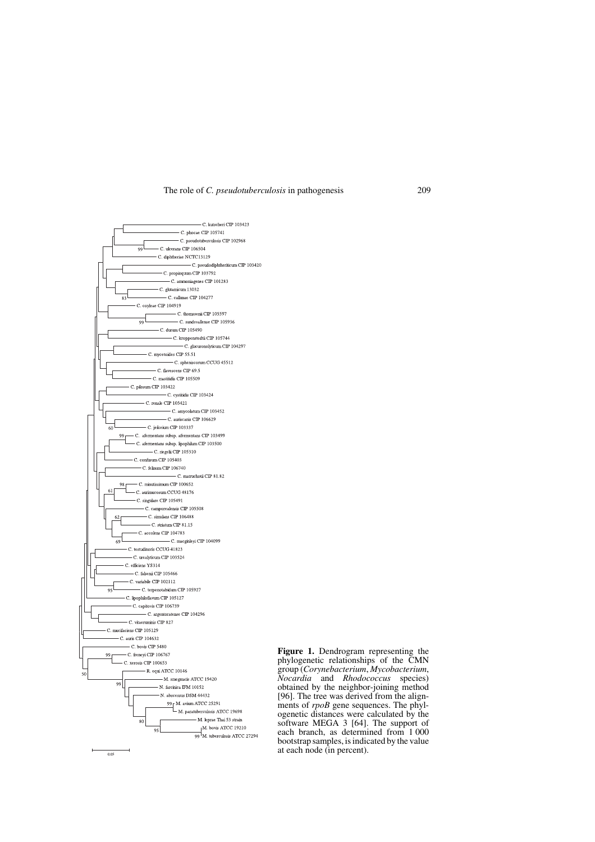

**Figure 1.** Dendrogram representing the phylogenetic relationships of the CMN group (*Corynebacterium*, *Mycobacterium*, *Nocardia* and *Rhodococcus* species) obtained by the neighbor-joining method [96]. The tree was derived from the alignments of *rpoB* gene sequences. The phylogenetic distances were calculated by the software MEGA 3 [64]. The support of each branch, as determined from 1 000 bootstrap samples, is indicated by the value at each node (in percent).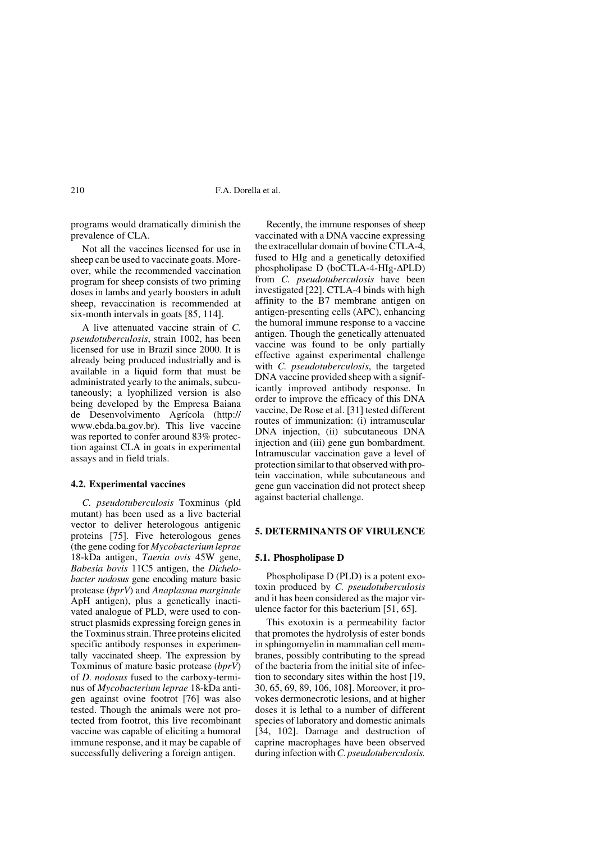programs would dramatically diminish the prevalence of CLA.

Not all the vaccines licensed for use in sheep can be used to vaccinate goats. Moreover, while the recommended vaccination program for sheep consists of two priming doses in lambs and yearly boosters in adult sheep, revaccination is recommended at six-month intervals in goats [85, 114].

A live attenuated vaccine strain of *C. pseudotuberculosis*, strain 1002, has been licensed for use in Brazil since 2000. It is already being produced industrially and is available in a liquid form that must be administrated yearly to the animals, subcutaneously; a lyophilized version is also being developed by the Empresa Baiana de Desenvolvimento Agrícola (http:// www.ebda.ba.gov.br). This live vaccine was reported to confer around 83% protection against CLA in goats in experimental assays and in field trials.

#### **4.2. Experimental vaccines**

*C. pseudotuberculosis* Toxminus (pld mutant) has been used as a live bacterial vector to deliver heterologous antigenic proteins [75]. Five heterologous genes (the gene coding for *Mycobacterium leprae* 18-kDa antigen, *Taenia ovis* 45W gene, *Babesia bovis* 11C5 antigen, the *Dichelobacter nodosus* gene encoding mature basic protease (*bprV*) and *Anaplasma marginale* ApH antigen), plus a genetically inactivated analogue of PLD, were used to construct plasmids expressing foreign genes in the Toxminus strain. Three proteins elicited specific antibody responses in experimentally vaccinated sheep. The expression by Toxminus of mature basic protease (*bprV*) of *D. nodosus* fused to the carboxy-terminus of *Mycobacterium leprae* 18-kDa antigen against ovine footrot [76] was also tested. Though the animals were not protected from footrot, this live recombinant vaccine was capable of eliciting a humoral immune response, and it may be capable of successfully delivering a foreign antigen.

Recently, the immune responses of sheep vaccinated with a DNA vaccine expressing the extracellular domain of bovine CTLA-4, fused to HIg and a genetically detoxified phospholipase D (boCTLA-4-HIg-ΔPLD) from *C. pseudotuberculosis* have been investigated [22]. CTLA-4 binds with high affinity to the B7 membrane antigen on antigen-presenting cells (APC), enhancing the humoral immune response to a vaccine antigen. Though the genetically attenuated vaccine was found to be only partially effective against experimental challenge with *C. pseudotuberculosis*, the targeted DNA vaccine provided sheep with a significantly improved antibody response. In order to improve the efficacy of this DNA vaccine, De Rose et al. [31] tested different routes of immunization: (i) intramuscular DNA injection, (ii) subcutaneous DNA injection and (iii) gene gun bombardment. Intramuscular vaccination gave a level of protection similar to that observed with protein vaccination, while subcutaneous and gene gun vaccination did not protect sheep against bacterial challenge.

# **5. DETERMINANTS OF VIRULENCE**

#### **5.1. Phospholipase D**

Phospholipase D (PLD) is a potent exotoxin produced by *C. pseudotuberculosis* and it has been considered as the major virulence factor for this bacterium [51, 65].

This exotoxin is a permeability factor that promotes the hydrolysis of ester bonds in sphingomyelin in mammalian cell membranes, possibly contributing to the spread of the bacteria from the initial site of infection to secondary sites within the host [19, 30, 65, 69, 89, 106, 108]. Moreover, it provokes dermonecrotic lesions, and at higher doses it is lethal to a number of different species of laboratory and domestic animals [34, 102]. Damage and destruction of caprine macrophages have been observed during infection with *C. pseudotuberculosis.*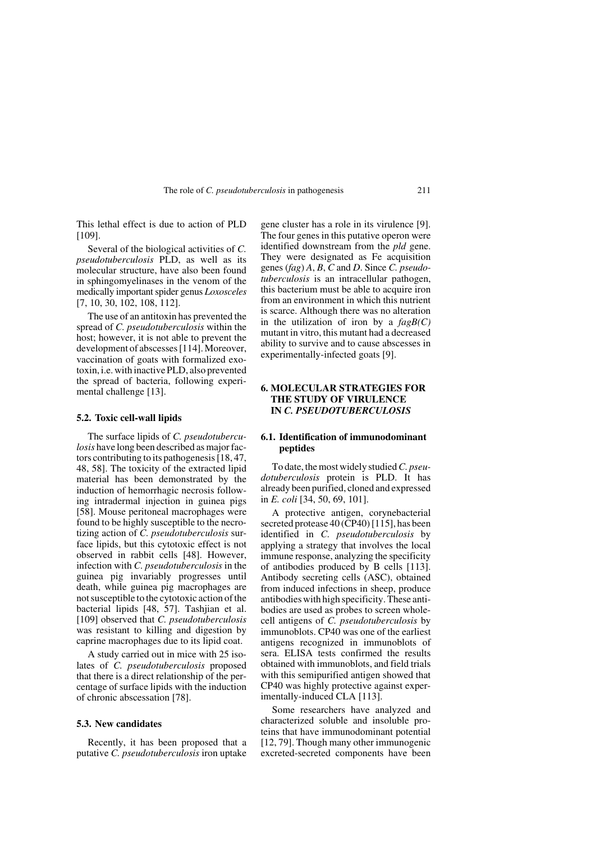This lethal effect is due to action of PLD [109].

Several of the biological activities of *C. pseudotuberculosis* PLD, as well as its molecular structure, have also been found in sphingomyelinases in the venom of the medically important spider genus *Loxosceles* [7, 10, 30, 102, 108, 112].

The use of an antitoxin has prevented the spread of *C. pseudotuberculosis* within the host; however, it is not able to prevent the development of abscesses [114]. Moreover, vaccination of goats with formalized exotoxin, i.e. with inactive PLD, also prevented the spread of bacteria, following experimental challenge [13].

#### **5.2. Toxic cell-wall lipids**

The surface lipids of *C. pseudotuberculosis* have long been described as major factors contributing to its pathogenesis [18, 47, 48, 58]. The toxicity of the extracted lipid material has been demonstrated by the induction of hemorrhagic necrosis following intradermal injection in guinea pigs [58]. Mouse peritoneal macrophages were found to be highly susceptible to the necrotizing action of *C. pseudotuberculosis* surface lipids, but this cytotoxic effect is not observed in rabbit cells [48]. However, infection with *C. pseudotuberculosis* in the guinea pig invariably progresses until death, while guinea pig macrophages are not susceptible to the cytotoxic action of the bacterial lipids [48, 57]. Tashjian et al. [109] observed that *C. pseudotuberculosis* was resistant to killing and digestion by caprine macrophages due to its lipid coat.

A study carried out in mice with 25 isolates of *C. pseudotuberculosis* proposed that there is a direct relationship of the percentage of surface lipids with the induction of chronic abscessation [78].

#### **5.3. New candidates**

Recently, it has been proposed that a putative *C. pseudotuberculosis* iron uptake gene cluster has a role in its virulence [9]. The four genes in this putative operon were identified downstream from the *pld* gene. They were designated as Fe acquisition genes (*fag*) *A*, *B*, *C* and *D*. Since *C. pseudotuberculosis* is an intracellular pathogen, this bacterium must be able to acquire iron from an environment in which this nutrient is scarce. Although there was no alteration in the utilization of iron by a *fagB(C)* mutant in vitro, this mutant had a decreased ability to survive and to cause abscesses in experimentally-infected goats [9].

# **6. MOLECULAR STRATEGIES FOR THE STUDY OF VIRULENCE IN** *C. PSEUDOTUBERCULOSIS*

# **6.1. Identification of immunodominant peptides**

To date, the most widely studied *C. pseudotuberculosis* protein is PLD. It has already been purified, cloned and expressed in *E. coli* [34, 50, 69, 101].

A protective antigen, corynebacterial secreted protease 40 (CP40) [115], has been identified in *C. pseudotuberculosis* by applying a strategy that involves the local immune response, analyzing the specificity of antibodies produced by B cells [113]. Antibody secreting cells (ASC), obtained from induced infections in sheep, produce antibodies with high specificity. These antibodies are used as probes to screen wholecell antigens of *C. pseudotuberculosis* by immunoblots. CP40 was one of the earliest antigens recognized in immunoblots of sera. ELISA tests confirmed the results obtained with immunoblots, and field trials with this semipurified antigen showed that CP40 was highly protective against experimentally-induced CLA [113].

Some researchers have analyzed and characterized soluble and insoluble proteins that have immunodominant potential [12, 79]. Though many other immunogenic excreted-secreted components have been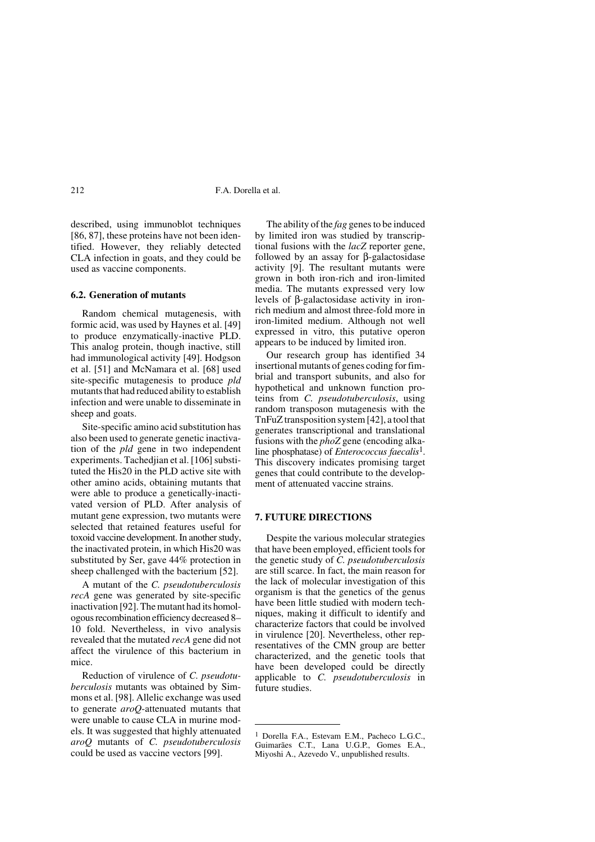described, using immunoblot techniques [86, 87], these proteins have not been identified. However, they reliably detected CLA infection in goats, and they could be used as vaccine components.

#### **6.2. Generation of mutants**

Random chemical mutagenesis, with formic acid, was used by Haynes et al. [49] to produce enzymatically-inactive PLD. This analog protein, though inactive, still had immunological activity [49]. Hodgson et al. [51] and McNamara et al. [68] used site-specific mutagenesis to produce *pld* mutants that had reduced ability to establish infection and were unable to disseminate in sheep and goats.

Site-specific amino acid substitution has also been used to generate genetic inactivation of the *pld* gene in two independent experiments. Tachedjian et al. [106] substituted the His20 in the PLD active site with other amino acids, obtaining mutants that were able to produce a genetically-inactivated version of PLD. After analysis of mutant gene expression, two mutants were selected that retained features useful for toxoid vaccine development. In another study, the inactivated protein, in which His20 was substituted by Ser, gave 44% protection in sheep challenged with the bacterium [52].

A mutant of the *C. pseudotuberculosis recA* gene was generated by site-specific inactivation [92]. The mutant had its homologous recombination efficiency decreased 8– 10 fold. Nevertheless, in vivo analysis revealed that the mutated *recA* gene did not affect the virulence of this bacterium in mice.

Reduction of virulence of *C. pseudotuberculosis* mutants was obtained by Simmons et al. [98]. Allelic exchange was used to generate *aroQ*-attenuated mutants that were unable to cause CLA in murine models. It was suggested that highly attenuated *aroQ* mutants of *C. pseudotuberculosis* could be used as vaccine vectors [99].

The ability of the *fag* genes to be induced by limited iron was studied by transcriptional fusions with the *lacZ* reporter gene, followed by an assay for β-galactosidase activity [9]. The resultant mutants were grown in both iron-rich and iron-limited media. The mutants expressed very low levels of β-galactosidase activity in ironrich medium and almost three-fold more in iron-limited medium. Although not well expressed in vitro, this putative operon appears to be induced by limited iron.

Our research group has identified 34 insertional mutants of genes coding for fimbrial and transport subunits, and also for hypothetical and unknown function proteins from *C. pseudotuberculosis*, using random transposon mutagenesis with the TnFuZ transposition system [42], a tool that generates transcriptional and translational fusions with the *phoZ* gene (encoding alkaline phosphatase) of *Enterococcus faecalis*1. This discovery indicates promising target genes that could contribute to the development of attenuated vaccine strains.

# **7. FUTURE DIRECTIONS**

Despite the various molecular strategies that have been employed, efficient tools for the genetic study of *C. pseudotuberculosis* are still scarce. In fact, the main reason for the lack of molecular investigation of this organism is that the genetics of the genus have been little studied with modern techniques, making it difficult to identify and characterize factors that could be involved in virulence [20]. Nevertheless, other representatives of the CMN group are better characterized, and the genetic tools that have been developed could be directly applicable to *C. pseudotuberculosis* in future studies.

<sup>1</sup> Dorella F.A., Estevam E.M., Pacheco L.G.C., Guimarães C.T., Lana U.G.P., Gomes E.A., Miyoshi A., Azevedo V., unpublished results.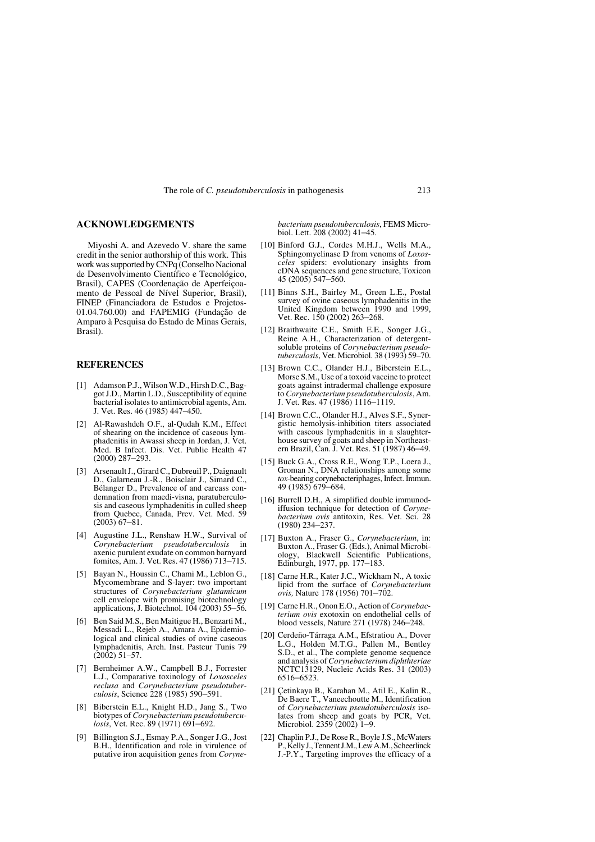# **ACKNOWLEDGEMENTS**

Miyoshi A. and Azevedo V. share the same credit in the senior authorship of this work. This work was supported by CNPq (Conselho Nacional de Desenvolvimento Científico e Tecnológico, Brasil), CAPES (Coordenação de Aperfeiçoamento de Pessoal de Nível Superior, Brasil), FINEP (Financiadora de Estudos e Projetos-01.04.760.00) and FAPEMIG (Fundação de Amparo à Pesquisa do Estado de Minas Gerais, Brasil).

# **REFERENCES**

- [1] Adamson P.J., Wilson W.D., Hirsh D.C., Baggot J.D., Martin L.D., Susceptibility of equine bacterial isolates to antimicrobial agents, Am. J. Vet. Res. 46 (1985) 447–450.
- [2] Al-Rawashdeh O.F., al-Qudah K.M., Effect of shearing on the incidence of caseous lymphadenitis in Awassi sheep in Jordan, J. Vet. Med. B Infect. Dis. Vet. Public Health 47 (2000) 287–293.
- [3] Arsenault J., Girard C., Dubreuil P., Daignault D., Galarneau J.-R., Boisclair J., Simard C., Bélanger D., Prevalence of and carcass condemnation from maedi-visna, paratuberculosis and caseous lymphadenitis in culled sheep from Quebec, Canada, Prev. Vet. Med. 59 (2003) 67–81.
- [4] Augustine J.L., Renshaw H.W., Survival of Corvnebacterium pseudotuberculosis in *Corynebacterium pseudotuberculosis* in axenic purulent exudate on common barnyard fomites, Am. J. Vet. Res. 47 (1986) 713–715.
- [5] Bayan N., Houssin C., Chami M., Leblon G., Mycomembrane and S-layer: two important structures of *Corynebacterium glutamicum* cell envelope with promising biotechnology applications, J. Biotechnol. 104 (2003) 55–56.
- [6] Ben Said M.S., Ben Maitigue H., Benzarti M., Messadi L., Rejeb A., Amara A., Epidemiological and clinical studies of ovine caseous lymphadenitis, Arch. Inst. Pasteur Tunis 79  $(2002)$  51–57
- [7] Bernheimer A.W., Campbell B.J., Forrester L.J., Comparative toxinology of *Loxosceles reclusa* and *Corynebacterium pseudotuber-culosis*, Science 228 (1985) 590–591.
- [8] Biberstein E.L., Knight H.D., Jang S., Two biotypes of *Corynebacterium pseudotuberculosis*, Vet. Rec. 89 (1971) 691–692.
- Billington S.J., Esmay P.A., Songer J.G., Jost B.H., Identification and role in virulence of putative iron acquisition genes from *Coryne-*

*bacterium pseudotuberculosis*, FEMS Microbiol. Lett. 208 (2002) 41–45.

- [10] Binford G.J., Cordes M.H.J., Wells M.A., Sphingomyelinase D from venoms of *Loxosceles* spiders: evolutionary insights from cDNA sequences and gene structure, Toxicon 45 (2005) 547–560.
- [11] Binns S.H., Bairley M., Green L.E., Postal survey of ovine caseous lymphadenitis in the United Kingdom between 1990 and 1999, Vet. Rec. 150 (2002) 263–268.
- [12] Braithwaite C.E., Smith E.E., Songer J.G., Reine A.H., Characterization of detergentsoluble proteins of *Corynebacterium pseudotuberculosis*, Vet. Microbiol. 38 (1993) 59–70.
- [13] Brown C.C., Olander H.J., Biberstein E.L., Morse S.M., Use of a toxoid vaccine to protect goats against intradermal challenge exposure to *Corynebacterium pseudotuberculosis*, Am. J. Vet. Res. 47 (1986) 1116–1119.
- [14] Brown C.C., Olander H.J., Alves S.F., Synergistic hemolysis-inhibition titers associated with caseous lymphadenitis in a slaughterhouse survey of goats and sheep in Northeast-ern Brazil, Can. J. Vet. Res. 51 (1987) 46–49.
- [15] Buck G.A., Cross R.E., Wong T.P., Loera J., Groman N., DNA relationships among some *tox*-bearing corynebacteriphages, Infect. Immun. 49 (1985) 679–684.
- [16] Burrell D.H., A simplified double immunodiffusion technique for detection of *Corynebacterium ovis* antitoxin, Res. Vet. Sci. 28 (1980) 234–237.
- [17] Buxton A., Fraser G., *Corynebacterium*, in: Buxton A., Fraser G. (Eds.), Animal Microbiology, Blackwell Scientific Publications, Edinburgh, 1977, pp. 177–183.
- [18] Carne H.R., Kater J.C., Wickham N., A toxic lipid from the surface of *Corynebacterium ovis*, Nature 178 (1956) 701–702.
- [19] Carne H.R., Onon E.O., Action of *Corynebacterium ovis* exotoxin on endothelial cells of blood vessels, Nature 271 (1978) 246–248.
- [20] Cerdeño-Tárraga A.M., Efstratiou A., Dover L.G., Holden M.T.G., Pallen M., Bentley S.D., et al., The complete genome sequence and analysis of *Corynebacterium diphthteriae* NCTC13129, Nucleic Acids Res. 31 (2003) 6516–6523.
- [21] Çetinkaya B., Karahan M., Atil E., Kalin R., De Baere T., Vaneechoutte M., Identification of *Corynebacterium pseudotuberculosis* isolates from sheep and goats by PCR, Vet. Microbiol. 2359 (2002) 1–9.
- [22] Chaplin P.J., De Rose R., Boyle J.S., McWaters P., Kelly J., Tennent J.M., Lew A.M., Scheerlinck J.-P.Y., Targeting improves the efficacy of a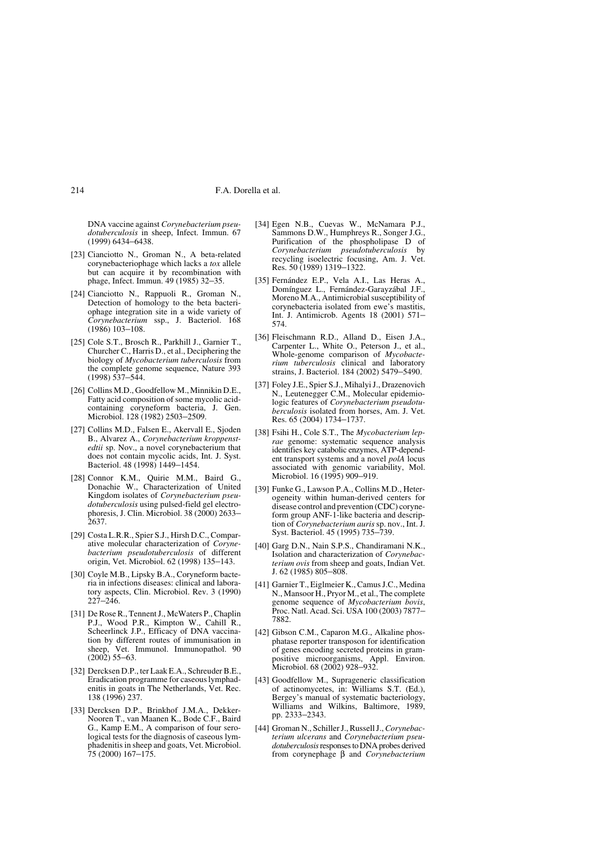DNA vaccine against *Corynebacterium pseudotuberculosis* in sheep, Infect. Immun. 67 (1999) 6434–6438.

- [23] Cianciotto N., Groman N., A beta-related corynebacteriophage which lacks a *tox* allele but can acquire it by recombination with phage, Infect. Immun. 49 (1985) 32–35.
- [24] Cianciotto N., Rappuoli R., Groman N., Detection of homology to the beta bacteriophage integration site in a wide variety of *Corynebacterium* ssp., J. Bacteriol. 168 (1986) 103–108.
- [25] Cole S.T., Brosch R., Parkhill J., Garnier T., Churcher C., Harris D., et al., Deciphering the biology of *Mycobacterium tuberculosis* from the complete genome sequence, Nature 393 (1998) 537–544.
- [26] Collins M.D., Goodfellow M., Minnikin D.E., Fatty acid composition of some mycolic acidcontaining coryneform bacteria, J. Gen. Microbiol. 128 (1982) 2503–2509.
- [27] Collins M.D., Falsen E., Akervall E., Sjoden B., Alvarez A., *Corynebacterium kroppenstedtii* sp. Nov., a novel corynebacterium that does not contain mycolic acids, Int. J. Syst. Bacteriol. 48 (1998) 1449–1454.
- [28] Connor K.M., Quirie M.M., Baird G., Donachie W., Characterization of United Kingdom isolates of *Corynebacterium pseudotuberculosis* using pulsed-field gel electrophoresis, J. Clin. Microbiol. 38 (2000) 2633– 2637.
- [29] Costa L.R.R., Spier S.J., Hirsh D.C., Comparative molecular characterization of *Corynebacterium pseudotuberculosis* of different origin, Vet. Microbiol. 62 (1998) 135–143.
- [30] Coyle M.B., Lipsky B.A., Coryneform bacteria in infections diseases: clinical and laboratory aspects, Clin. Microbiol. Rev. 3 (1990)  $227 - 246$ .
- [31] De Rose R., Tennent J., McWaters P., Chaplin P.J., Wood P.R., Kimpton W., Cahill R., Scheerlinck J.P., Efficacy of DNA vaccination by different routes of immunisation in sheep, Vet. Immunol. Immunopathol. 90 (2002) 55–63.
- [32] Dercksen D.P., ter Laak E.A., Schreuder B.E., Eradication programme for caseous lymphadenitis in goats in The Netherlands, Vet. Rec. 138 (1996) 237.
- [33] Dercksen D.P., Brinkhof J.M.A., Dekker-Nooren T., van Maanen K., Bode C.F., Baird G., Kamp E.M., A comparison of four serological tests for the diagnosis of caseous lymphadenitis in sheep and goats, Vet. Microbiol. 75 (2000) 167–175.
- [34] Egen N.B., Cuevas W., McNamara P.J., Sammons D.W., Humphreys R., Songer J.G., Purification of the phospholipase D of *Corynebacterium pseudotuberculosis* by recycling isoelectric focusing, Am. J. Vet. Res. 50 (1989) 1319–1322.
- [35] Fernández E.P., Vela A.I., Las Heras A., Domínguez L., Fernández-Garayzábal J.F., Moreno M.A., Antimicrobial susceptibility of corynebacteria isolated from ewe's mastitis, Int. J. Antimicrob. Agents 18 (2001) 571– 574.
- [36] Fleischmann R.D., Alland D., Eisen J.A., Carpenter L., White O., Peterson J., et al., Whole-genome comparison of *Mycobacterium tuberculosis* clinical and laboratory strains, J. Bacteriol. 184 (2002) 5479–5490.
- [37] Foley J.E., Spier S.J., Mihalyi J., Drazenovich N., Leutenegger C.M., Molecular epidemiologic features of *Corynebacterium pseudotuberculosis* isolated from horses, Am. J. Vet. Res. 65 (2004) 1734–1737.
- [38] Fsihi H., Cole S.T., The *Mycobacterium leprae* genome: systematic sequence analysis identifies key catabolic enzymes, ATP-dependent transport systems and a novel *polA* locus associated with genomic variability, Mol. Microbiol. 16 (1995) 909-919.
- [39] Funke G., Lawson P.A., Collins M.D., Heterogeneity within human-derived centers for disease control and prevention (CDC) coryneform group ANF-1-like bacteria and description of *Corynebacterium auris* sp. nov., Int. J. Syst. Bacteriol. 45 (1995) 735–739.
- [40] Garg D.N., Nain S.P.S., Chandiramani N.K., Isolation and characterization of *Corynebacterium ovis* from sheep and goats, Indian Vet. J. 62 (1985) 805–808.
- [41] Garnier T., Eiglmeier K., Camus J.C., Medina N., Mansoor H., Pryor M., et al., The complete genome sequence of *Mycobacterium bovis*, Proc. Natl. Acad. Sci. USA 100 (2003) 7877– 7882.
- [42] Gibson C.M., Caparon M.G., Alkaline phosphatase reporter transposon for identification of genes encoding secreted proteins in grampositive microorganisms, Appl. Environ. Microbiol. 68 (2002) 928-932
- [43] Goodfellow M., Suprageneric classification of actinomycetes, in: Williams S.T. (Ed.), Bergey's manual of systematic bacteriology, Williams and Wilkins, Baltimore, 1989, pp. 2333–2343.
- [44] Groman N., Schiller J., Russell J., *Corynebacterium ulcerans* and *Corynebacterium pseudotuberculosis* responses to DNA probes derived from corynephage β and *Corynebacterium*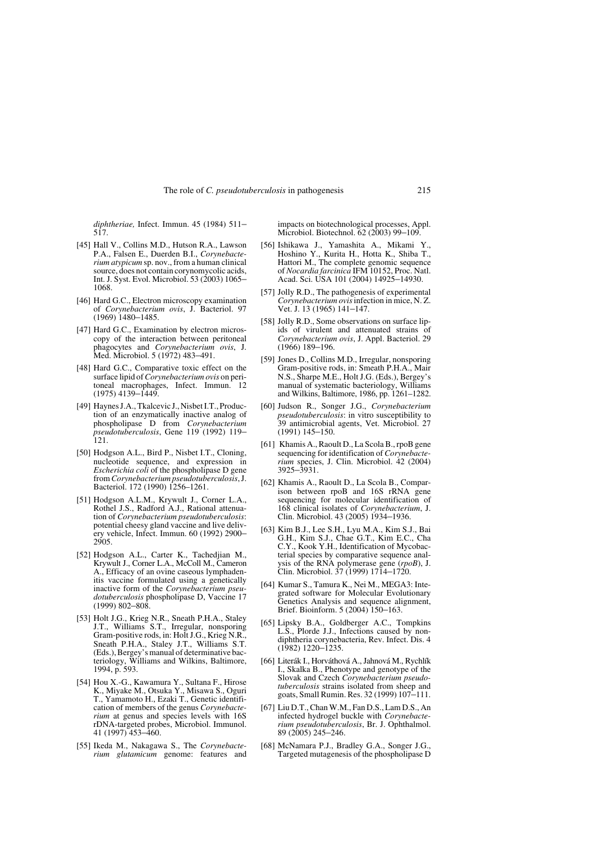*diphtheriae,* Infect. Immun. 45 (1984) 511– 517.

- [45] Hall V., Collins M.D., Hutson R.A., Lawson P.A., Falsen E., Duerden B.I., *Corynebacterium atypicum* sp. nov., from a human clinical source, does not contain corynomycolic acids, Int. J. Syst. Evol. Microbiol. 53 (2003) 1065– 1068.
- [46] Hard G.C., Electron microscopy examination of *Corynebacterium ovis*, J. Bacteriol. 97 (1969) 1480–1485.
- [47] Hard G.C., Examination by electron microscopy of the interaction between peritoneal phagocytes and *Corynebacterium ovis*, J. Med. Microbiol. 5 (1972) 483–491.
- [48] Hard G.C., Comparative toxic effect on the surface lipid of *Corynebacterium ovis* on peritoneal macrophages, Infect. Immun. 12 (1975) 4139–1449.
- [49] Haynes J.A., Tkalcevic J., Nisbet I.T., Production of an enzymatically inactive analog of phospholipase D from *Corynebacterium pseudotuberculosis*, Gene 119 (1992) 119– 121.
- [50] Hodgson A.L., Bird P., Nisbet I.T., Cloning, nucleotide sequence, and expression in *Escherichia coli* of the phospholipase D gene from *Corynebacterium pseudotuberculosis*, J. Bacteriol. 172 (1990) 1256–1261.
- [51] Hodgson A.L.M., Krywult J., Corner L.A., Rothel J.S., Radford A.J., Rational attenuation of *Corynebacterium pseudotuberculosis*: potential cheesy gland vaccine and live delivery vehicle, Infect. Immun. 60 (1992) 2900– 2905.
- [52] Hodgson A.L., Carter K., Tachedjian M., Krywult J., Corner L.A., McColl M., Cameron A., Efficacy of an ovine caseous lymphadenitis vaccine formulated using a genetically inactive form of the *Corynebacterium pseudotuberculosis* phospholipase D, Vaccine 17 (1999) 802–808.
- [53] Holt J.G., Krieg N.R., Sneath P.H.A., Staley J.T., Williams S.T., Irregular, nonsporing Gram-positive rods, in: Holt J.G., Krieg N.R., Sneath P.H.A., Staley J.T., Williams S.T. (Eds.), Bergey's manual of determinative bacteriology, Williams and Wilkins, Baltimore, 1994, p. 593.
- [54] Hou X.-G., Kawamura Y., Sultana F., Hirose K., Miyake M., Otsuka Y., Misawa S., Oguri T., Yamamoto H., Ezaki T., Genetic identification of members of the genus *Corynebacterium* at genus and species levels with 16S rDNA-targeted probes, Microbiol. Immunol. 41 (1997) 453–460.
- [55] Ikeda M., Nakagawa S., The *Corynebacterium glutamicum* genome: features and

impacts on biotechnological processes, Appl. Microbiol. Biotechnol. 62 (2003) 99–109.

- [56] Ishikawa J., Yamashita A., Mikami Y., Hoshino Y., Kurita H., Hotta K., Shiba T., Hattori M., The complete genomic sequence of *Nocardia farcinica* IFM 10152, Proc. Natl. Acad. Sci. USA 101 (2004) 14925–14930.
- [57] Jolly R.D., The pathogenesis of experimental *Corynebacterium ovis* infection in mice, N. Z. Vet. J. 13 (1965) 141–147.
- [58] Jolly R.D., Some observations on surface lipids of virulent and attenuated strains *Corynebacterium ovis*, J. Appl. Bacteriol. 29 (1966) 189–196.
- [59] Jones D., Collins M.D., Irregular, nonsporing Gram-positive rods, in: Smeath P.H.A., Mair N.S., Sharpe M.E., Holt J.G. (Eds.), Bergey's manual of systematic bacteriology, Williams and Wilkins, Baltimore, 1986, pp. 1261–1282.
- [60] Judson R., Songer J.G., *Corynebacterium pseudotuberculosis*: in vitro susceptibility to 39 antimicrobial agents, Vet. Microbiol. 27 (1991) 145–150.
- [61] Khamis A., Raoult D., La Scola B., rpoB gene sequencing for identification of *Corynebacterium* species, J. Clin. Microbiol. 42 (2004) 3925–3931.
- [62] Khamis A., Raoult D., La Scola B., Comparison between rpoB and 16S rRNA gene sequencing for molecular identification of 168 clinical isolates of *Corynebacterium*, J. Clin. Microbiol. 43 (2005) 1934–1936.
- [63] Kim B.J., Lee S.H., Lyu M.A., Kim S.J., Bai G.H., Kim S.J., Chae G.T., Kim E.C., Cha C.Y., Kook Y.H., Identification of Mycobacterial species by comparative sequence analysis of the RNA polymerase gene (*rpoB*), J. Clin. Microbiol. 37 (1999) 1714–1720.
- [64] Kumar S., Tamura K., Nei M., MEGA3: Integrated software for Molecular Evolutionary Genetics Analysis and sequence alignment, Brief. Bioinform. 5 (2004) 150–163.
- [65] Lipsky B.A., Goldberger A.C., Tompkins L.S., Plorde J.J., Infections caused by nondiphtheria corynebacteria, Rev. Infect. Dis. 4 (1982) 1220–1235.
- [66] Literák I., Horváthová A., Jahnová M., Rychlík I., Skalka B., Phenotype and genotype of the Slovak and Czech *Corynebacterium pseudotuberculosis* strains isolated from sheep and goats, Small Rumin. Res. 32 (1999) 107–111.
- [67] Liu D.T., Chan W.M., Fan D.S., Lam D.S., An infected hydrogel buckle with *Corynebacterium pseudotuberculosis*, Br. J. Ophthalmol. 89 (2005) 245–246.
- [68] McNamara P.J., Bradley G.A., Songer J.G. Targeted mutagenesis of the phospholipase D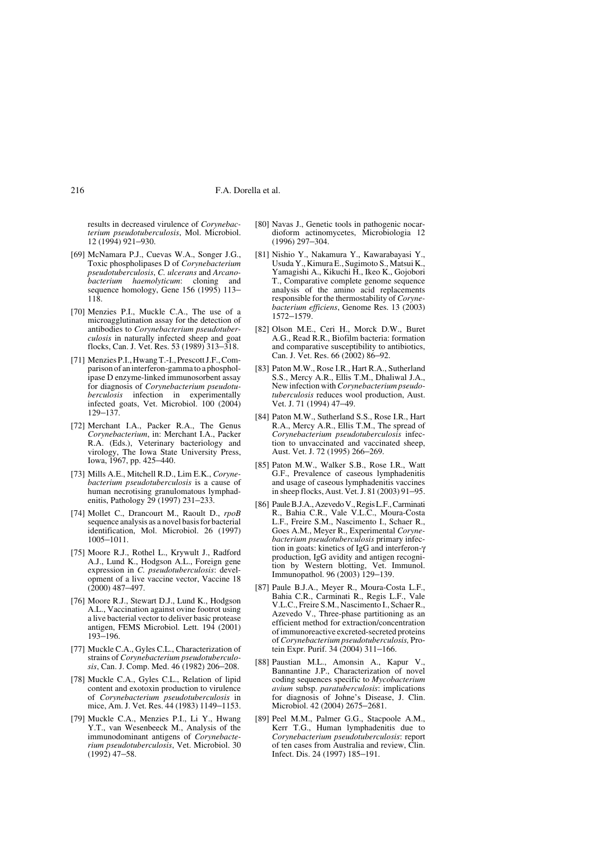results in decreased virulence of *Corynebacterium pseudotuberculosis*, Mol. Microbiol. 12 (1994) 921–930.

- [69] McNamara P.J., Cuevas W.A., Songer J.G., Toxic phospholipases D of *Corynebacterium pseudotuberculosis*, *C. ulcerans* and *Arcanobacterium haemolyticum*: cloning and sequence homology, Gene 156 (1995) 113– 118.
- [70] Menzies P.I., Muckle C.A., The use of a microagglutination assay for the detection of antibodies to *Corynebacterium pseudotuberculosis* in naturally infected sheep and goat flocks, Can. J. Vet. Res. 53 (1989) 313–318.
- [71] Menzies P.I., Hwang T.-I., Prescott J.F., Comparison of an interferon-gamma to a phospholipase D enzyme-linked immunosorbent assay for diagnosis of *Corynebacterium pseudotuberculosis* infection in experimentally infected goats, Vet. Microbiol. 100 (2004) 129–137.
- [72] Merchant I.A., Packer R.A., The Genus *Corynebacterium*, in: Merchant I.A., Packer R.A. (Eds.), Veterinary bacteriology and virology, The Iowa State University Press, Iowa, 1967, pp. 425–440.
- [73] Mills A.E., Mitchell R.D., Lim E.K., *Corynebacterium pseudotuberculosis* is a cause of human necrotising granulomatous lymphadenitis, Pathology 29 (1997) 231–233.
- [74] Mollet C., Drancourt M., Raoult D., *rpoB* sequence analysis as a novel basis for bacterial identification, Mol. Microbiol. 26 (1997) 1005–1011.
- [75] Moore R.J., Rothel L., Krywult J., Radford A.J., Lund K., Hodgson A.L., Foreign gene expression in *C. pseudotuberculosis*: development of a live vaccine vector, Vaccine 18 (2000) 487–497.
- [76] Moore R.J., Stewart D.J., Lund K., Hodgson A.L., Vaccination against ovine footrot using a live bacterial vector to deliver basic protease antigen, FEMS Microbiol. Lett. 194 (2001) 193–196.
- [77] Muckle C.A., Gyles C.L., Characterization of strains of *Corynebacterium pseudotuberculosis*, Can. J. Comp. Med. 46 (1982) 206–208.
- [78] Muckle C.A., Gyles C.L., Relation of lipid content and exotoxin production to virulence of *Corynebacterium pseudotuberculosis* in mice, Am. J. Vet. Res. 44 (1983) 1149–1153.
- [79] Muckle C.A., Menzies P.I., Li Y., Hwang Y.T., van Wesenbeeck M., Analysis of the immunodominant antigens of *Corynebacterium pseudotuberculosis*, Vet. Microbiol. 30  $(1992)$  47–58.
- [80] Navas J., Genetic tools in pathogenic nocardioform actinomycetes, Microbiologia 12 (1996) 297–304.
- [81] Nishio Y., Nakamura Y., Kawarabayasi Y., Usuda Y., Kimura E., Sugimoto S., Matsui K., Yamagishi A., Kikuchi H., Ikeo K., Gojobori T., Comparative complete genome sequence analysis of the amino acid replacements responsible for the thermostability of *Corynebacterium efficiens*, Genome Res. 13 (2003) 1572–1579.
- [82] Olson M.E., Ceri H., Morck D.W., Buret A.G., Read R.R., Biofilm bacteria: formation and comparative susceptibility to antibiotics, Can. J. Vet. Res. 66 (2002) 86–92.
- [83] Paton M.W., Rose I.R., Hart R.A., Sutherland S.S., Mercy A.R., Ellis T.M., Dhaliwal J.A., New infection with *Corynebacterium pseudotuberculosis* reduces wool production, Aust. Vet. J. 71 (1994) 47–49.
- [84] Paton M.W., Sutherland S.S., Rose I.R., Hart R.A., Mercy A.R., Ellis T.M., The spread of *Corynebacterium pseudotuberculosis* infection to unvaccinated and vaccinated sheep, Aust. Vet. J. 72 (1995) 266–269.
- [85] Paton M.W., Walker S.B., Rose I.R., Watt G.F., Prevalence of caseous lymphadenitis and usage of caseous lymphadenitis vaccines in sheep flocks, Aust. Vet. J. 81 (2003) 91–95.
- [86] Paule B.J.A., Azevedo V., Regis L.F., Carminati R., Bahia C.R., Vale V.L.C., Moura-Costa L.F., Freire S.M., Nascimento I., Schaer R., Goes A.M., Meyer R., Experimental *Corynebacterium pseudotuberculosis* primary infection in goats: kinetics of IgG and interferon-γ production, IgG avidity and antigen recognition by Western blotting, Vet. Immunol. Immunopathol. 96 (2003) 129–139.
- [87] Paule B.J.A., Meyer R., Moura-Costa L.F., Bahia C.R., Carminati R., Regis L.F., Vale V.L.C., Freire S.M., Nascimento I., Schaer R., Azevedo V., Three-phase partitioning as an efficient method for extraction/concentration of immunoreactive excreted-secreted proteins of *Corynebacterium pseudotuberculosis,* Protein Expr. Purif. 34 (2004) 311–166.
- [88] Paustian M.L., Amonsin A., Kapur V. Bannantine J.P., Characterization of novel coding sequences specific to *Mycobacterium avium* subsp. *paratuberculosis*: implications for diagnosis of Johne's Disease, J. Clin. Microbiol. 42 (2004) 2675–2681.
- [89] Peel M.M., Palmer G.G., Stacpoole A.M., Kerr T.G., Human lymphadenitis due to *Corynebacterium pseudotuberculosis*: report of ten cases from Australia and review, Clin. Infect. Dis. 24 (1997) 185–191.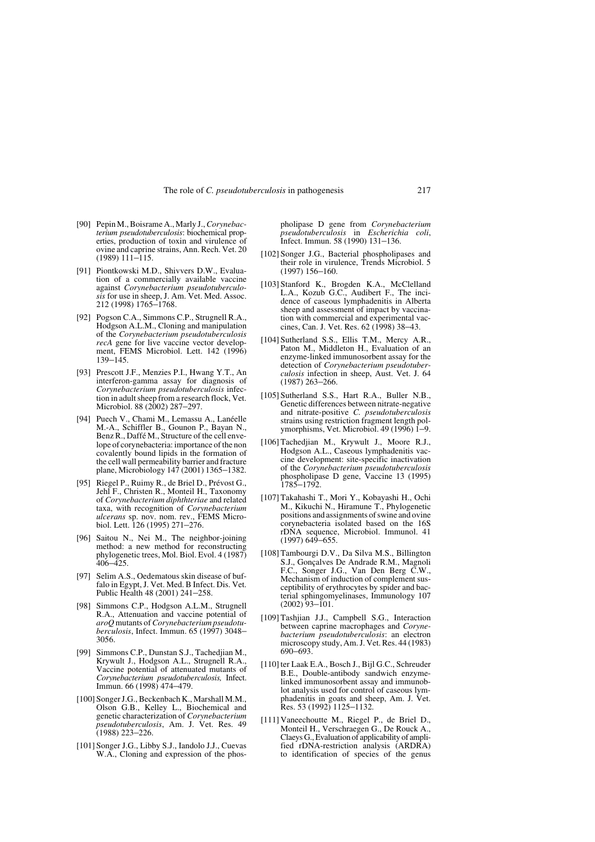- [90] Pepin M., Boisrame A., Marly J., *Corynebacterium pseudotuberculosis*: biochemical properties, production of toxin and virulence of ovine and caprine strains, Ann. Rech. Vet. 20 (1989) 111–115.
- [91] Piontkowski M.D., Shivvers D.W., Evaluation of a commercially available vaccine against *Corynebacterium pseudotuberculosis* for use in sheep, J. Am. Vet. Med. Assoc. 212 (1998) 1765–1768.
- [92] Pogson C.A., Simmons C.P., Strugnell R.A., Hodgson A.L.M., Cloning and manipulation of the *Corynebacterium pseudotuberculosis recA* gene for live vaccine vector development, FEMS Microbiol. Lett. 142 (1996) 139–145.
- [93] Prescott J.F., Menzies P.I., Hwang Y.T., An interferon-gamma assay for diagnosis of *Corynebacterium pseudotuberculosis* infection in adult sheep from a research flock, Vet. Microbiol. 88 (2002) 287-297.
- [94] Puech V., Chami M., Lemassu A., Lanéelle M.-A., Schiffler B., Gounon P., Bayan N., Benz R., Daffé M., Structure of the cell envelope of corynebacteria: importance of the non covalently bound lipids in the formation of the cell wall permeability barrier and fracture plane, Microbiology 147 (2001) 1365–1382.
- [95] Riegel P., Ruimy R., de Briel D., Prévost G., Jehl F., Christen R., Monteil H., Taxonomy of *Corynebacterium diphthteriae* and related taxa, with recognition of *Corynebacterium ulcerans* sp. nov. nom. rev., FEMS Micro-biol. Lett. 126 (1995) 271–276.
- [96] Saitou N., Nei M., The neighbor-joining method: a new method for reconstructing phylogenetic trees, Mol. Biol. Evol. 4 (1987)  $406 - 425$ .
- [97] Selim A.S., Oedematous skin disease of buffalo in Egypt, J. Vet. Med. B Infect. Dis. Vet. Public Health 48 (2001) 241–258.
- [98] Simmons C.P., Hodgson A.L.M., Strugnell R.A., Attenuation and vaccine potential of *aroQ* mutants of *Corynebacterium pseudotuberculosis*, Infect. Immun. 65 (1997) 3048– 3056.
- [99] Simmons C.P., Dunstan S.J., Tachedjian M., Krywult J., Hodgson A.L., Strugnell R.A., Vaccine potential of attenuated mutants of *Corynebacterium pseudotuberculosis,* Infect. Immun. 66 (1998) 474–479.
- [100] Songer J.G., Beckenbach K., Marshall M.M., Olson G.B., Kelley L., Biochemical and genetic characterization of *Corynebacterium pseudotuberculosis*, Am. J. Vet. Res. 49 (1988) 223–226.
- [101] Songer J.G., Libby S.J., Iandolo J.J., Cuevas W.A., Cloning and expression of the phos-

pholipase D gene from *Corynebacterium pseudotuberculosis* in *Escherichia coli*, Infect. Immun. 58 (1990) 131–136.

- [102] Songer J.G., Bacterial phospholipases and their role in virulence, Trends Microbiol. 5 (1997) 156–160.
- [103] Stanford K., Brogden K.A., McClelland L.A., Kozub G.C., Audibert F., The incidence of caseous lymphadenitis in Alberta sheep and assessment of impact by vaccination with commercial and experimental vaccines, Can. J. Vet. Res. 62 (1998) 38–43.
- [104] Sutherland S.S., Ellis T.M., Mercy A.R., Paton M., Middleton H., Evaluation of an enzyme-linked immunosorbent assay for the detection of *Corynebacterium pseudotuberculosis* infection in sheep, Aust. Vet. J. 64 (1987) 263–266.
- [105] Sutherland S.S., Hart R.A., Buller N.B., Genetic differences between nitrate-negative and nitrate-positive *C. pseudotuberculosis* strains using restriction fragment length polymorphisms, Vet. Microbiol. 49 (1996) 1-9.
- [106] Tachedjian M., Krywult J., Moore R.J., Hodgson A.L., Caseous lymphadenitis vaccine development: site-specific inactivation of the *Corynebacterium pseudotuberculosis* phospholipase D gene, Vaccine 13 (1995) 1785–1792.
- [107] Takahashi T., Mori Y., Kobayashi H., Ochi M., Kikuchi N., Hiramune T., Phylogenetic positions and assignments of swine and ovine corynebacteria isolated based on the 16S rDNA sequence, Microbiol. Immunol. 41  $(1997)$  649–655.
- [108] Tambourgi D.V., Da Silva M.S., Billington S.J., Gonçalves De Andrade R.M., Magnoli F.C., Songer J.G., Van Den Berg C.W., Mechanism of induction of complement susceptibility of erythrocytes by spider and bacterial sphingomyelinases, Immunology 107 (2002) 93–101.
- [109] Tashjian J.J., Campbell S.G., Interaction between caprine macrophages and *Corynebacterium pseudotuberculosis*: an electron microscopy study, Am. J. Vet. Res. 44 (1983) 690–693.
- [110] ter Laak E.A., Bosch J., Bijl G.C., Schreuder B.E., Double-antibody sandwich enzymelinked immunosorbent assay and immunoblot analysis used for control of caseous lymphadenitis in goats and sheep, Am. J. Vet. Res. 53 (1992) 1125–1132.
- [111] Vaneechoutte M., Riegel P., de Briel D., Monteil H., Verschraegen G., De Rouck A., Claeys G., Evaluation of applicability of amplified rDNA-restriction analysis (ARDRA) to identification of species of the genus